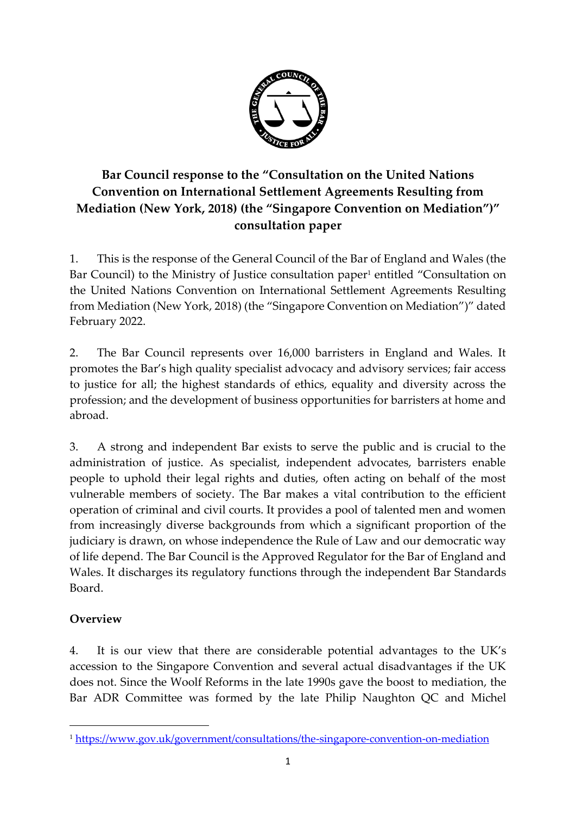

# **Bar Council response to the "Consultation on the United Nations Convention on International Settlement Agreements Resulting from Mediation (New York, 2018) (the "Singapore Convention on Mediation")" consultation paper**

1. This is the response of the General Council of the Bar of England and Wales (the Bar Council) to the Ministry of Justice consultation paper<sup>1</sup> entitled "Consultation on the United Nations Convention on International Settlement Agreements Resulting from Mediation (New York, 2018) (the "Singapore Convention on Mediation")" dated February 2022.

2. The Bar Council represents over 16,000 barristers in England and Wales. It promotes the Bar's high quality specialist advocacy and advisory services; fair access to justice for all; the highest standards of ethics, equality and diversity across the profession; and the development of business opportunities for barristers at home and abroad.

3. A strong and independent Bar exists to serve the public and is crucial to the administration of justice. As specialist, independent advocates, barristers enable people to uphold their legal rights and duties, often acting on behalf of the most vulnerable members of society. The Bar makes a vital contribution to the efficient operation of criminal and civil courts. It provides a pool of talented men and women from increasingly diverse backgrounds from which a significant proportion of the judiciary is drawn, on whose independence the Rule of Law and our democratic way of life depend. The Bar Council is the Approved Regulator for the Bar of England and Wales. It discharges its regulatory functions through the independent Bar Standards Board.

#### **Overview**

4. It is our view that there are considerable potential advantages to the UK's accession to the Singapore Convention and several actual disadvantages if the UK does not. Since the Woolf Reforms in the late 1990s gave the boost to mediation, the Bar ADR Committee was formed by the late Philip Naughton QC and Michel

<sup>1</sup> <https://www.gov.uk/government/consultations/the-singapore-convention-on-mediation>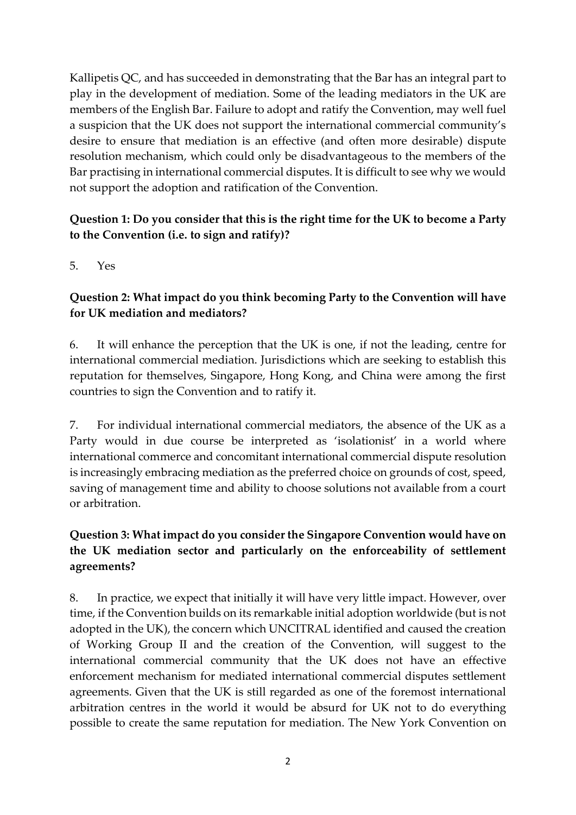Kallipetis QC, and has succeeded in demonstrating that the Bar has an integral part to play in the development of mediation. Some of the leading mediators in the UK are members of the English Bar. Failure to adopt and ratify the Convention, may well fuel a suspicion that the UK does not support the international commercial community's desire to ensure that mediation is an effective (and often more desirable) dispute resolution mechanism, which could only be disadvantageous to the members of the Bar practising in international commercial disputes. It is difficult to see why we would not support the adoption and ratification of the Convention.

#### **Question 1: Do you consider that this is the right time for the UK to become a Party to the Convention (i.e. to sign and ratify)?**

5. Yes

## **Question 2: What impact do you think becoming Party to the Convention will have for UK mediation and mediators?**

6. It will enhance the perception that the UK is one, if not the leading, centre for international commercial mediation. Jurisdictions which are seeking to establish this reputation for themselves, Singapore, Hong Kong, and China were among the first countries to sign the Convention and to ratify it.

7. For individual international commercial mediators, the absence of the UK as a Party would in due course be interpreted as 'isolationist' in a world where international commerce and concomitant international commercial dispute resolution is increasingly embracing mediation as the preferred choice on grounds of cost, speed, saving of management time and ability to choose solutions not available from a court or arbitration.

# **Question 3: What impact do you consider the Singapore Convention would have on the UK mediation sector and particularly on the enforceability of settlement agreements?**

8. In practice, we expect that initially it will have very little impact. However, over time, if the Convention builds on its remarkable initial adoption worldwide (but is not adopted in the UK), the concern which UNCITRAL identified and caused the creation of Working Group II and the creation of the Convention, will suggest to the international commercial community that the UK does not have an effective enforcement mechanism for mediated international commercial disputes settlement agreements. Given that the UK is still regarded as one of the foremost international arbitration centres in the world it would be absurd for UK not to do everything possible to create the same reputation for mediation. The New York Convention on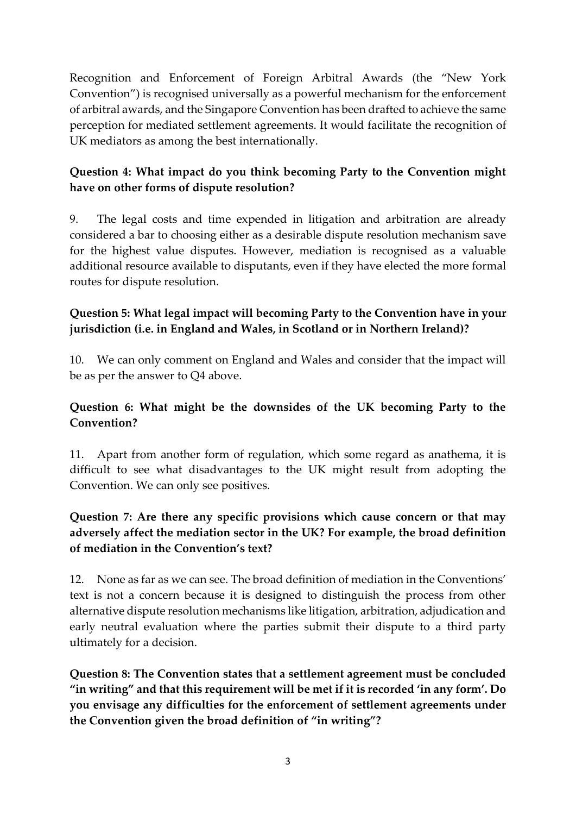Recognition and Enforcement of Foreign Arbitral Awards (the "New York Convention") is recognised universally as a powerful mechanism for the enforcement of arbitral awards, and the Singapore Convention has been drafted to achieve the same perception for mediated settlement agreements. It would facilitate the recognition of UK mediators as among the best internationally.

#### **Question 4: What impact do you think becoming Party to the Convention might have on other forms of dispute resolution?**

9. The legal costs and time expended in litigation and arbitration are already considered a bar to choosing either as a desirable dispute resolution mechanism save for the highest value disputes. However, mediation is recognised as a valuable additional resource available to disputants, even if they have elected the more formal routes for dispute resolution.

#### **Question 5: What legal impact will becoming Party to the Convention have in your jurisdiction (i.e. in England and Wales, in Scotland or in Northern Ireland)?**

10. We can only comment on England and Wales and consider that the impact will be as per the answer to Q4 above.

#### **Question 6: What might be the downsides of the UK becoming Party to the Convention?**

11. Apart from another form of regulation, which some regard as anathema, it is difficult to see what disadvantages to the UK might result from adopting the Convention. We can only see positives.

## **Question 7: Are there any specific provisions which cause concern or that may adversely affect the mediation sector in the UK? For example, the broad definition of mediation in the Convention's text?**

12. None as far as we can see. The broad definition of mediation in the Conventions' text is not a concern because it is designed to distinguish the process from other alternative dispute resolution mechanisms like litigation, arbitration, adjudication and early neutral evaluation where the parties submit their dispute to a third party ultimately for a decision.

**Question 8: The Convention states that a settlement agreement must be concluded "in writing" and that this requirement will be met if it is recorded 'in any form'. Do you envisage any difficulties for the enforcement of settlement agreements under the Convention given the broad definition of "in writing"?**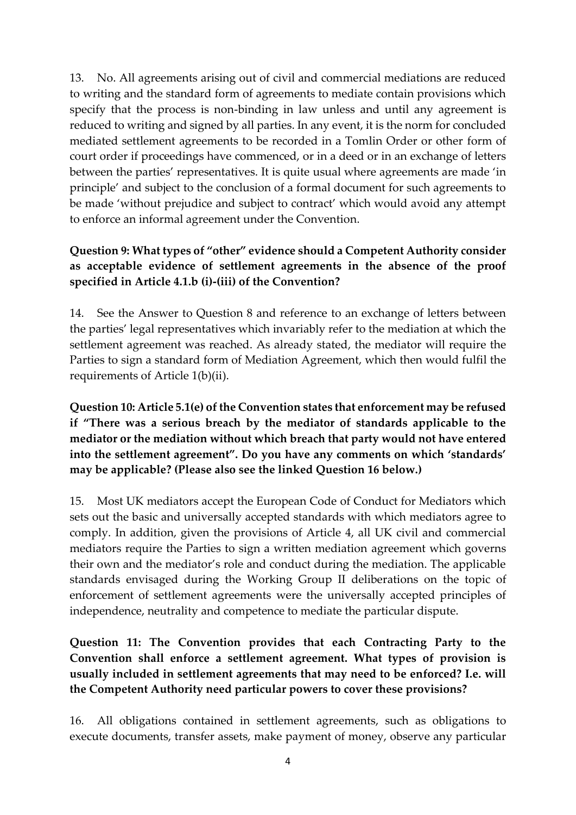13. No. All agreements arising out of civil and commercial mediations are reduced to writing and the standard form of agreements to mediate contain provisions which specify that the process is non-binding in law unless and until any agreement is reduced to writing and signed by all parties. In any event, it is the norm for concluded mediated settlement agreements to be recorded in a Tomlin Order or other form of court order if proceedings have commenced, or in a deed or in an exchange of letters between the parties' representatives. It is quite usual where agreements are made 'in principle' and subject to the conclusion of a formal document for such agreements to be made 'without prejudice and subject to contract' which would avoid any attempt to enforce an informal agreement under the Convention.

## **Question 9: What types of "other" evidence should a Competent Authority consider as acceptable evidence of settlement agreements in the absence of the proof specified in Article 4.1.b (i)-(iii) of the Convention?**

14. See the Answer to Question 8 and reference to an exchange of letters between the parties' legal representatives which invariably refer to the mediation at which the settlement agreement was reached. As already stated, the mediator will require the Parties to sign a standard form of Mediation Agreement, which then would fulfil the requirements of Article 1(b)(ii).

## **Question 10: Article 5.1(e) of the Convention states that enforcement may be refused if "There was a serious breach by the mediator of standards applicable to the mediator or the mediation without which breach that party would not have entered into the settlement agreement". Do you have any comments on which 'standards' may be applicable? (Please also see the linked Question 16 below.)**

15. Most UK mediators accept the European Code of Conduct for Mediators which sets out the basic and universally accepted standards with which mediators agree to comply. In addition, given the provisions of Article 4, all UK civil and commercial mediators require the Parties to sign a written mediation agreement which governs their own and the mediator's role and conduct during the mediation. The applicable standards envisaged during the Working Group II deliberations on the topic of enforcement of settlement agreements were the universally accepted principles of independence, neutrality and competence to mediate the particular dispute.

## **Question 11: The Convention provides that each Contracting Party to the Convention shall enforce a settlement agreement. What types of provision is usually included in settlement agreements that may need to be enforced? I.e. will the Competent Authority need particular powers to cover these provisions?**

16. All obligations contained in settlement agreements, such as obligations to execute documents, transfer assets, make payment of money, observe any particular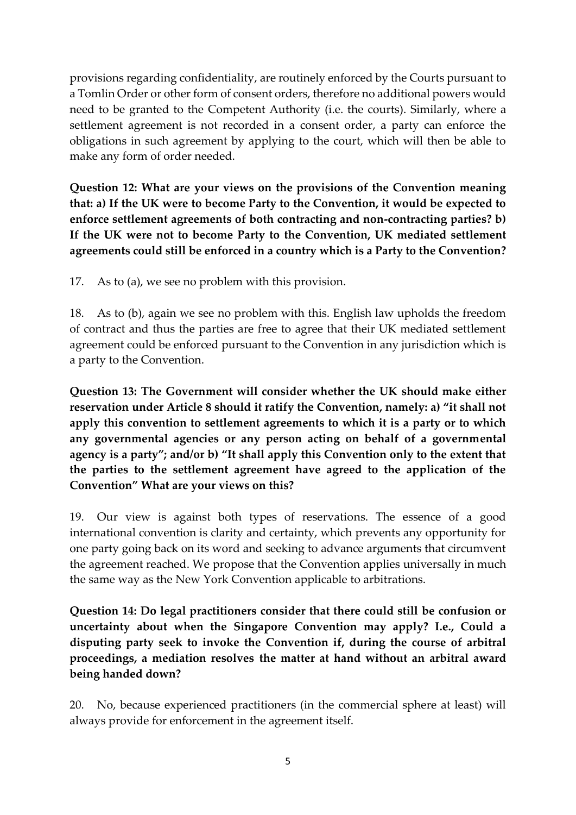provisions regarding confidentiality, are routinely enforced by the Courts pursuant to a Tomlin Order or other form of consent orders, therefore no additional powers would need to be granted to the Competent Authority (i.e. the courts). Similarly, where a settlement agreement is not recorded in a consent order, a party can enforce the obligations in such agreement by applying to the court, which will then be able to make any form of order needed.

**Question 12: What are your views on the provisions of the Convention meaning that: a) If the UK were to become Party to the Convention, it would be expected to enforce settlement agreements of both contracting and non-contracting parties? b) If the UK were not to become Party to the Convention, UK mediated settlement agreements could still be enforced in a country which is a Party to the Convention?**

17. As to (a), we see no problem with this provision.

18. As to (b), again we see no problem with this. English law upholds the freedom of contract and thus the parties are free to agree that their UK mediated settlement agreement could be enforced pursuant to the Convention in any jurisdiction which is a party to the Convention.

**Question 13: The Government will consider whether the UK should make either reservation under Article 8 should it ratify the Convention, namely: a) "it shall not apply this convention to settlement agreements to which it is a party or to which any governmental agencies or any person acting on behalf of a governmental agency is a party"; and/or b) "It shall apply this Convention only to the extent that the parties to the settlement agreement have agreed to the application of the Convention" What are your views on this?**

19. Our view is against both types of reservations. The essence of a good international convention is clarity and certainty, which prevents any opportunity for one party going back on its word and seeking to advance arguments that circumvent the agreement reached. We propose that the Convention applies universally in much the same way as the New York Convention applicable to arbitrations.

**Question 14: Do legal practitioners consider that there could still be confusion or uncertainty about when the Singapore Convention may apply? I.e., Could a disputing party seek to invoke the Convention if, during the course of arbitral proceedings, a mediation resolves the matter at hand without an arbitral award being handed down?**

20. No, because experienced practitioners (in the commercial sphere at least) will always provide for enforcement in the agreement itself.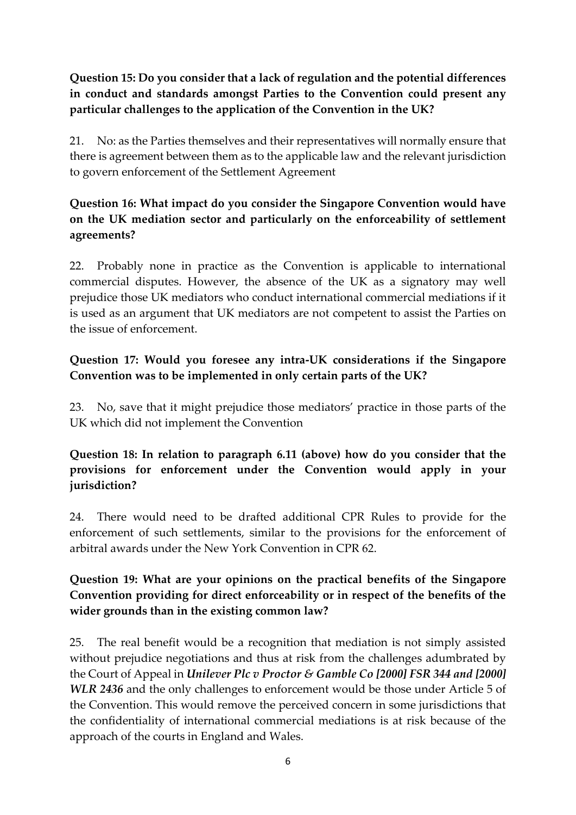## **Question 15: Do you consider that a lack of regulation and the potential differences in conduct and standards amongst Parties to the Convention could present any particular challenges to the application of the Convention in the UK?**

21. No: as the Parties themselves and their representatives will normally ensure that there is agreement between them as to the applicable law and the relevant jurisdiction to govern enforcement of the Settlement Agreement

## **Question 16: What impact do you consider the Singapore Convention would have on the UK mediation sector and particularly on the enforceability of settlement agreements?**

22. Probably none in practice as the Convention is applicable to international commercial disputes. However, the absence of the UK as a signatory may well prejudice those UK mediators who conduct international commercial mediations if it is used as an argument that UK mediators are not competent to assist the Parties on the issue of enforcement.

#### **Question 17: Would you foresee any intra-UK considerations if the Singapore Convention was to be implemented in only certain parts of the UK?**

23. No, save that it might prejudice those mediators' practice in those parts of the UK which did not implement the Convention

#### **Question 18: In relation to paragraph 6.11 (above) how do you consider that the provisions for enforcement under the Convention would apply in your jurisdiction?**

24. There would need to be drafted additional CPR Rules to provide for the enforcement of such settlements, similar to the provisions for the enforcement of arbitral awards under the New York Convention in CPR 62.

#### **Question 19: What are your opinions on the practical benefits of the Singapore Convention providing for direct enforceability or in respect of the benefits of the wider grounds than in the existing common law?**

25. The real benefit would be a recognition that mediation is not simply assisted without prejudice negotiations and thus at risk from the challenges adumbrated by the Court of Appeal in *Unilever Plc v Proctor & Gamble Co [2000] FSR 344 and [2000] WLR 2436* and the only challenges to enforcement would be those under Article 5 of the Convention. This would remove the perceived concern in some jurisdictions that the confidentiality of international commercial mediations is at risk because of the approach of the courts in England and Wales.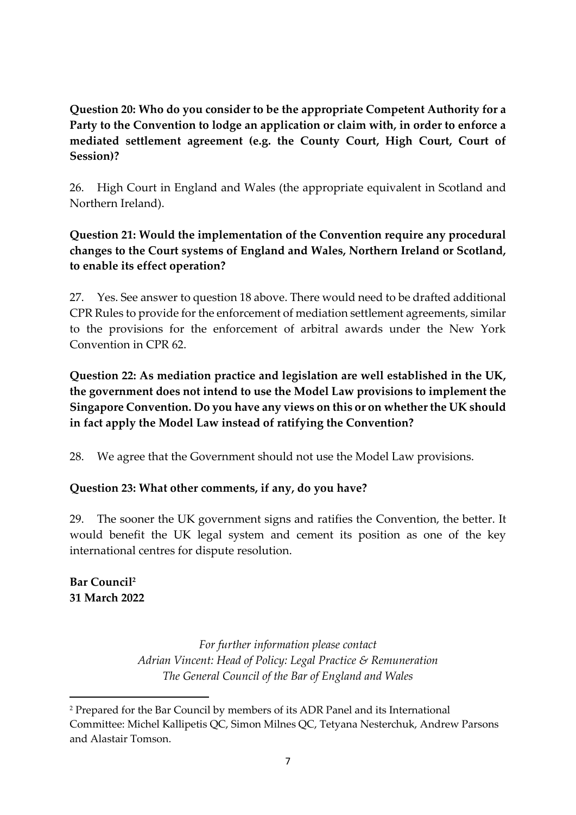## **Question 20: Who do you consider to be the appropriate Competent Authority for a Party to the Convention to lodge an application or claim with, in order to enforce a mediated settlement agreement (e.g. the County Court, High Court, Court of Session)?**

26. High Court in England and Wales (the appropriate equivalent in Scotland and Northern Ireland).

## **Question 21: Would the implementation of the Convention require any procedural changes to the Court systems of England and Wales, Northern Ireland or Scotland, to enable its effect operation?**

27. Yes. See answer to question 18 above. There would need to be drafted additional CPR Rules to provide for the enforcement of mediation settlement agreements, similar to the provisions for the enforcement of arbitral awards under the New York Convention in CPR 62.

## **Question 22: As mediation practice and legislation are well established in the UK, the government does not intend to use the Model Law provisions to implement the Singapore Convention. Do you have any views on this or on whether the UK should in fact apply the Model Law instead of ratifying the Convention?**

28. We agree that the Government should not use the Model Law provisions.

# **Question 23: What other comments, if any, do you have?**

29. The sooner the UK government signs and ratifies the Convention, the better. It would benefit the UK legal system and cement its position as one of the key international centres for dispute resolution.

# **Bar Council<sup>2</sup> 31 March 2022**

*For further information please contact Adrian Vincent: Head of Policy: Legal Practice & Remuneration The General Council of the Bar of England and Wales*

<sup>&</sup>lt;sup>2</sup> Prepared for the Bar Council by members of its ADR Panel and its International Committee: Michel Kallipetis QC, Simon Milnes QC, Tetyana Nesterchuk, Andrew Parsons and Alastair Tomson.